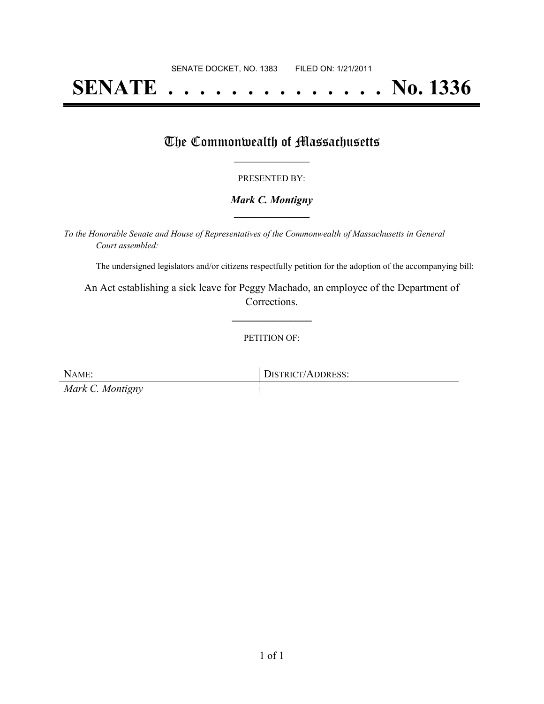# **SENATE . . . . . . . . . . . . . . No. 1336**

### The Commonwealth of Massachusetts

#### PRESENTED BY:

#### *Mark C. Montigny* **\_\_\_\_\_\_\_\_\_\_\_\_\_\_\_\_\_**

*To the Honorable Senate and House of Representatives of the Commonwealth of Massachusetts in General Court assembled:*

The undersigned legislators and/or citizens respectfully petition for the adoption of the accompanying bill:

An Act establishing a sick leave for Peggy Machado, an employee of the Department of Corrections.

**\_\_\_\_\_\_\_\_\_\_\_\_\_\_\_**

PETITION OF:

NAME: DISTRICT/ADDRESS: *Mark C. Montigny*